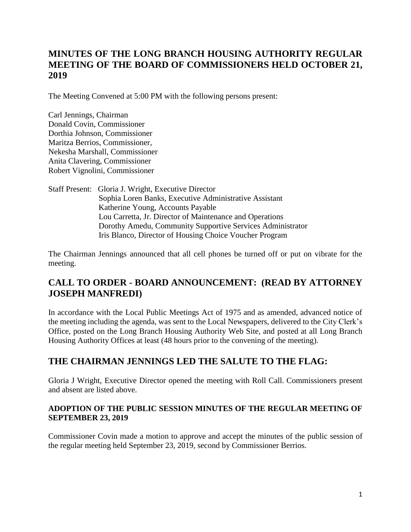# **MINUTES OF THE LONG BRANCH HOUSING AUTHORITY REGULAR MEETING OF THE BOARD OF COMMISSIONERS HELD OCTOBER 21, 2019**

The Meeting Convened at 5:00 PM with the following persons present:

Carl Jennings, Chairman Donald Covin, Commissioner Dorthia Johnson, Commissioner Maritza Berrios, Commissioner, Nekesha Marshall, Commissioner Anita Clavering, Commissioner Robert Vignolini, Commissioner

Staff Present: Gloria J. Wright, Executive Director Sophia Loren Banks, Executive Administrative Assistant Katherine Young, Accounts Payable Lou Carretta, Jr. Director of Maintenance and Operations Dorothy Amedu, Community Supportive Services Administrator Iris Blanco, Director of Housing Choice Voucher Program

The Chairman Jennings announced that all cell phones be turned off or put on vibrate for the meeting.

# **CALL TO ORDER - BOARD ANNOUNCEMENT: (READ BY ATTORNEY JOSEPH MANFREDI)**

In accordance with the Local Public Meetings Act of 1975 and as amended, advanced notice of the meeting including the agenda, was sent to the Local Newspapers, delivered to the City Clerk's Office, posted on the Long Branch Housing Authority Web Site, and posted at all Long Branch Housing Authority Offices at least (48 hours prior to the convening of the meeting).

# **THE CHAIRMAN JENNINGS LED THE SALUTE TO THE FLAG:**

Gloria J Wright, Executive Director opened the meeting with Roll Call. Commissioners present and absent are listed above.

#### **ADOPTION OF THE PUBLIC SESSION MINUTES OF THE REGULAR MEETING OF SEPTEMBER 23, 2019**

Commissioner Covin made a motion to approve and accept the minutes of the public session of the regular meeting held September 23, 2019, second by Commissioner Berrios.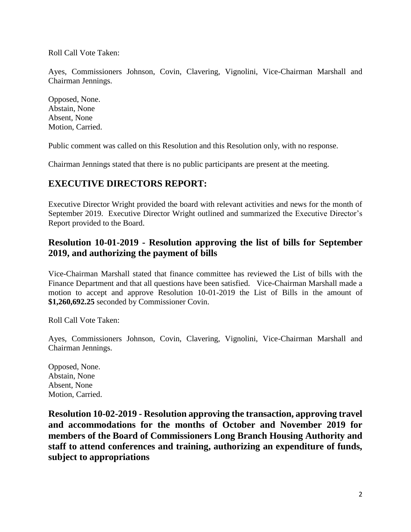Roll Call Vote Taken:

Ayes, Commissioners Johnson, Covin, Clavering, Vignolini, Vice-Chairman Marshall and Chairman Jennings.

Opposed, None. Abstain, None Absent, None Motion, Carried.

Public comment was called on this Resolution and this Resolution only, with no response.

Chairman Jennings stated that there is no public participants are present at the meeting.

# **EXECUTIVE DIRECTORS REPORT:**

Executive Director Wright provided the board with relevant activities and news for the month of September 2019. Executive Director Wright outlined and summarized the Executive Director's Report provided to the Board.

# **Resolution 10-01-2019 - Resolution approving the list of bills for September 2019, and authorizing the payment of bills**

Vice-Chairman Marshall stated that finance committee has reviewed the List of bills with the Finance Department and that all questions have been satisfied. Vice-Chairman Marshall made a motion to accept and approve Resolution 10-01-2019 the List of Bills in the amount of **\$1,260,692.25** seconded by Commissioner Covin.

Roll Call Vote Taken:

Ayes, Commissioners Johnson, Covin, Clavering, Vignolini, Vice-Chairman Marshall and Chairman Jennings.

Opposed, None. Abstain, None Absent, None Motion, Carried.

**Resolution 10-02-2019 - Resolution approving the transaction, approving travel and accommodations for the months of October and November 2019 for members of the Board of Commissioners Long Branch Housing Authority and staff to attend conferences and training, authorizing an expenditure of funds, subject to appropriations**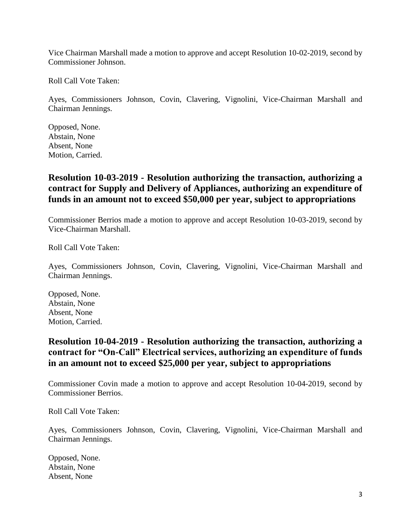Vice Chairman Marshall made a motion to approve and accept Resolution 10-02-2019, second by Commissioner Johnson.

Roll Call Vote Taken:

Ayes, Commissioners Johnson, Covin, Clavering, Vignolini, Vice-Chairman Marshall and Chairman Jennings.

Opposed, None. Abstain, None Absent, None Motion, Carried.

### **Resolution 10-03-2019 - Resolution authorizing the transaction, authorizing a contract for Supply and Delivery of Appliances, authorizing an expenditure of funds in an amount not to exceed \$50,000 per year, subject to appropriations**

Commissioner Berrios made a motion to approve and accept Resolution 10-03-2019, second by Vice-Chairman Marshall.

Roll Call Vote Taken:

Ayes, Commissioners Johnson, Covin, Clavering, Vignolini, Vice-Chairman Marshall and Chairman Jennings.

Opposed, None. Abstain, None Absent, None Motion, Carried.

## **Resolution 10-04-2019 - Resolution authorizing the transaction, authorizing a contract for "On-Call" Electrical services, authorizing an expenditure of funds in an amount not to exceed \$25,000 per year, subject to appropriations**

Commissioner Covin made a motion to approve and accept Resolution 10-04-2019, second by Commissioner Berrios.

Roll Call Vote Taken:

Ayes, Commissioners Johnson, Covin, Clavering, Vignolini, Vice-Chairman Marshall and Chairman Jennings.

Opposed, None. Abstain, None Absent, None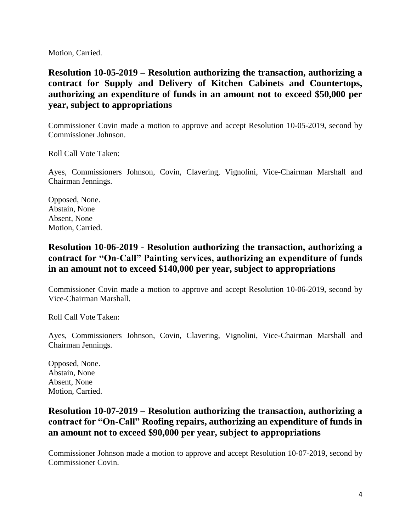Motion, Carried.

**Resolution 10-05-2019 – Resolution authorizing the transaction, authorizing a contract for Supply and Delivery of Kitchen Cabinets and Countertops, authorizing an expenditure of funds in an amount not to exceed \$50,000 per year, subject to appropriations**

Commissioner Covin made a motion to approve and accept Resolution 10-05-2019, second by Commissioner Johnson.

Roll Call Vote Taken:

Ayes, Commissioners Johnson, Covin, Clavering, Vignolini, Vice-Chairman Marshall and Chairman Jennings.

Opposed, None. Abstain, None Absent, None Motion, Carried.

### **Resolution 10-06-2019 - Resolution authorizing the transaction, authorizing a contract for "On-Call" Painting services, authorizing an expenditure of funds in an amount not to exceed \$140,000 per year, subject to appropriations**

Commissioner Covin made a motion to approve and accept Resolution 10-06-2019, second by Vice-Chairman Marshall.

Roll Call Vote Taken:

Ayes, Commissioners Johnson, Covin, Clavering, Vignolini, Vice-Chairman Marshall and Chairman Jennings.

Opposed, None. Abstain, None Absent, None Motion, Carried.

## **Resolution 10-07-2019 – Resolution authorizing the transaction, authorizing a contract for "On-Call" Roofing repairs, authorizing an expenditure of funds in an amount not to exceed \$90,000 per year, subject to appropriations**

Commissioner Johnson made a motion to approve and accept Resolution 10-07-2019, second by Commissioner Covin.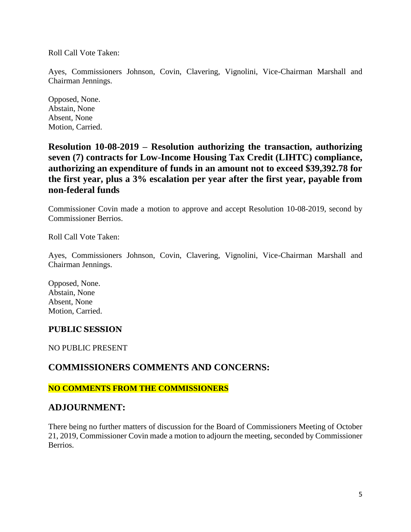Roll Call Vote Taken:

Ayes, Commissioners Johnson, Covin, Clavering, Vignolini, Vice-Chairman Marshall and Chairman Jennings.

Opposed, None. Abstain, None Absent, None Motion, Carried.

**Resolution 10-08-2019 – Resolution authorizing the transaction, authorizing seven (7) contracts for Low-Income Housing Tax Credit (LIHTC) compliance, authorizing an expenditure of funds in an amount not to exceed \$39,392.78 for the first year, plus a 3% escalation per year after the first year, payable from non-federal funds**

Commissioner Covin made a motion to approve and accept Resolution 10-08-2019, second by Commissioner Berrios.

Roll Call Vote Taken:

Ayes, Commissioners Johnson, Covin, Clavering, Vignolini, Vice-Chairman Marshall and Chairman Jennings.

Opposed, None. Abstain, None Absent, None Motion, Carried.

#### **PUBLIC SESSION**

NO PUBLIC PRESENT

#### **COMMISSIONERS COMMENTS AND CONCERNS:**

#### **NO COMMENTS FROM THE COMMISSIONERS**

#### **ADJOURNMENT:**

There being no further matters of discussion for the Board of Commissioners Meeting of October 21, 2019, Commissioner Covin made a motion to adjourn the meeting, seconded by Commissioner Berrios.